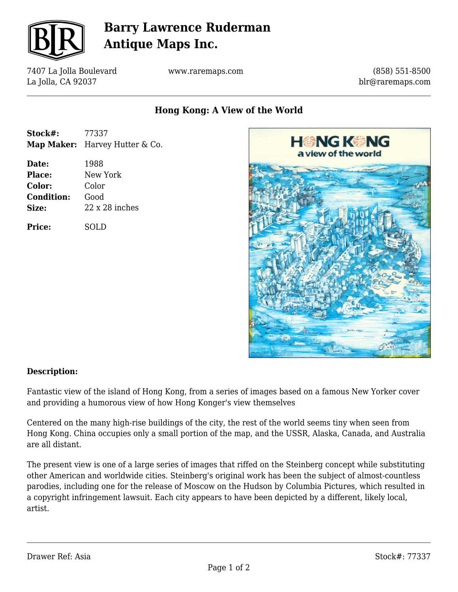

## **Barry Lawrence Ruderman Antique Maps Inc.**

7407 La Jolla Boulevard La Jolla, CA 92037

www.raremaps.com

(858) 551-8500 blr@raremaps.com

**Hong Kong: A View of the World**

| Stock#: | 77337                                 |
|---------|---------------------------------------|
|         | <b>Map Maker:</b> Harvey Hutter & Co. |

**Date:** 1988 **Place:** New York **Color:** Color **Condition:** Good **Size:** 22 x 28 inches

**Price:** SOLD



### **Description:**

Fantastic view of the island of Hong Kong, from a series of images based on a famous New Yorker cover and providing a humorous view of how Hong Konger's view themselves

Centered on the many high-rise buildings of the city, the rest of the world seems tiny when seen from Hong Kong. China occupies only a small portion of the map, and the USSR, Alaska, Canada, and Australia are all distant.

The present view is one of a large series of images that riffed on the Steinberg concept while substituting other American and worldwide cities. Steinberg's original work has been the subject of almost-countless parodies, including one for the release of Moscow on the Hudson by Columbia Pictures, which resulted in a copyright infringement lawsuit. Each city appears to have been depicted by a different, likely local, artist.